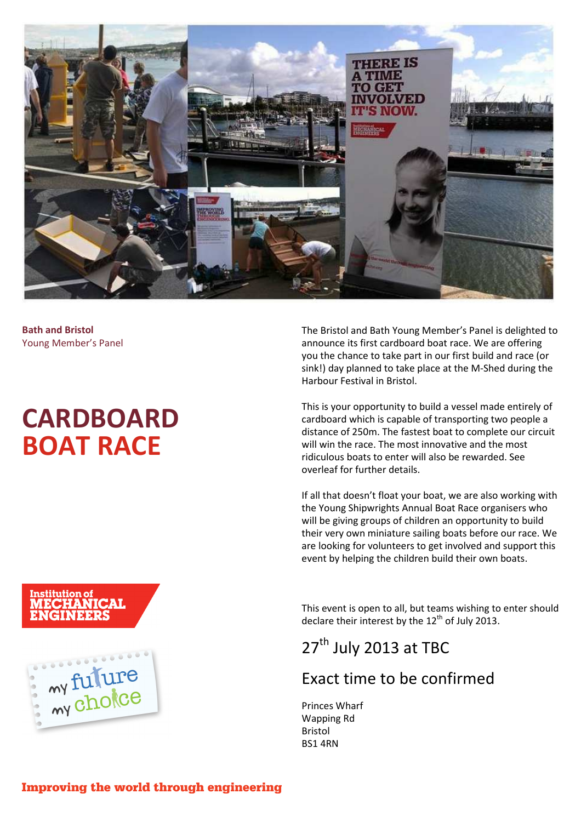

**Bath and Bristol**  Young Member's Panel

# **CARDBOARD BOAT RACE**

The Bristol and Bath Young Member's Panel is delighted to announce its first cardboard boat race. We are offering you the chance to take part in our first build and race (or sink!) day planned to take place at the M-Shed during the Harbour Festival in Bristol.

This is your opportunity to build a vessel made entirely of cardboard which is capable of transporting two people a distance of 250m. The fastest boat to complete our circuit will win the race. The most innovative and the most ridiculous boats to enter will also be rewarded. See overleaf for further details.

If all that doesn't float your boat, we are also working with the Young Shipwrights Annual Boat Race organisers who will be giving groups of children an opportunity to build their very own miniature sailing boats before our race. We are looking for volunteers to get involved and support this event by helping the children build their own boats.

This event is open to all, but teams wishing to enter should declare their interest by the  $12<sup>th</sup>$  of July 2013.

# 27<sup>th</sup> July 2013 at TBC

### Exact time to be confirmed

Princes Wharf Wapping Rd Bristol BS1 4RN